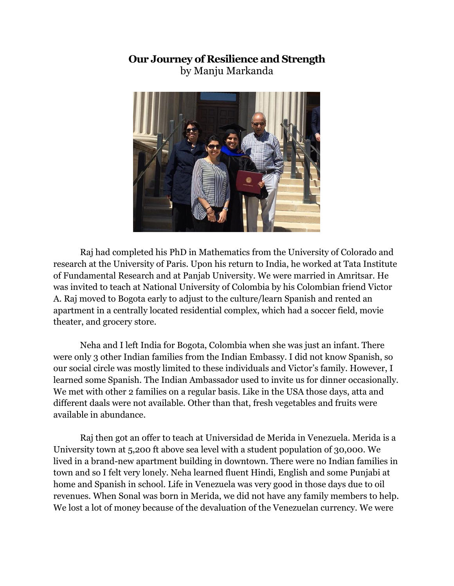## **Our Journey of Resilience and Strength** by Manju Markanda



Raj had completed his PhD in Mathematics from the University of Colorado and research at the University of Paris. Upon his return to India, he worked at Tata Institute of Fundamental Research and at Panjab University. We were married in Amritsar. He was invited to teach at National University of Colombia by his Colombian friend Victor A. Raj moved to Bogota early to adjust to the culture/learn Spanish and rented an apartment in a centrally located residential complex, which had a soccer field, movie theater, and grocery store.

Neha and I left India for Bogota, Colombia when she was just an infant. There were only 3 other Indian families from the Indian Embassy. I did not know Spanish, so our social circle was mostly limited to these individuals and Victor's family. However, I learned some Spanish. The Indian Ambassador used to invite us for dinner occasionally. We met with other 2 families on a regular basis. Like in the USA those days, atta and different daals were not available. Other than that, fresh vegetables and fruits were available in abundance.

Raj then got an offer to teach at Universidad de Merida in Venezuela. Merida is a University town at 5,200 ft above sea level with a student population of 30,000. We lived in a brand-new apartment building in downtown. There were no Indian families in town and so I felt very lonely. Neha learned fluent Hindi, English and some Punjabi at home and Spanish in school. Life in Venezuela was very good in those days due to oil revenues. When Sonal was born in Merida, we did not have any family members to help. We lost a lot of money because of the devaluation of the Venezuelan currency. We were